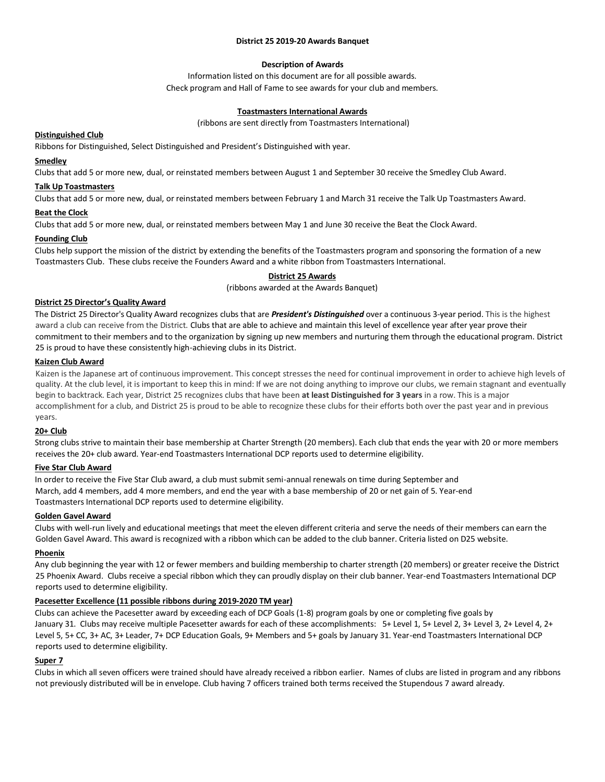## **District 25 2019-20 Awards Banquet**

# **Description of Awards**

Information listed on this document are for all possible awards. Check program and Hall of Fame to see awards for your club and members.

# **Toastmasters International Awards**

(ribbons are sent directly from Toastmasters International)

# **Distinguished Club**

Ribbons for Distinguished, Select Distinguished and President's Distinguished with year.

# **Smedley**

Clubs that add 5 or more new, dual, or reinstated members between August 1 and September 30 receive the Smedley Club Award.

# **Talk Up Toastmasters**

Clubs that add 5 or more new, dual, or reinstated members between February 1 and March 31 receive the Talk Up Toastmasters Award.

# **Beat the Clock**

Clubs that add 5 or more new, dual, or reinstated members between May 1 and June 30 receive the Beat the Clock Award.

# **Founding Club**

Clubs help support the mission of the district by extending the benefits of the Toastmasters program and sponsoring the formation of a new Toastmasters Club. These clubs receive the Founders Award and a white ribbon from Toastmasters International.

# **District 25 Awards**

(ribbons awarded at the Awards Banquet)

# **District 25 Director's Quality Award**

The District 25 Director's Quality Award recognizes clubs that are *President's Distinguished* over a continuous 3-year period. This is the highest award a club can receive from the District. Clubs that are able to achieve and maintain this level of excellence year after year prove their commitment to their members and to the organization by signing up new members and nurturing them through the educational program. District 25 is proud to have these consistently high-achieving clubs in its District.

# **Kaizen Club Award**

Kaizen is the Japanese art of continuous improvement. This concept stresses the need for continual improvement in order to achieve high levels of quality. At the club level, it is important to keep this in mind: If we are not doing anything to improve our clubs, we remain stagnant and eventually begin to backtrack. Each year, District 25 recognizes clubs that have been **at least Distinguished for 3 years** in a row. This is a major accomplishment for a club, and District 25 is proud to be able to recognize these clubs for their efforts both over the past year and in previous years.

# **20+ Club**

Strong clubs strive to maintain their base membership at Charter Strength (20 members). Each club that ends the year with 20 or more members receives the 20+ club award. Year-end Toastmasters International DCP reports used to determine eligibility.

# **Five Star Club Award**

In order to receive the Five Star Club award, a club must submit semi-annual renewals on time during September and March, add 4 members, add 4 more members, and end the year with a base membership of 20 or net gain of 5. Year-end Toastmasters International DCP reports used to determine eligibility.

# **Golden Gavel Award**

Clubs with well-run lively and educational meetings that meet the eleven different criteria and serve the needs of their members can earn the Golden Gavel Award. This award is recognized with a ribbon which can be added to the club banner. Criteria listed on D25 website.

# **Phoenix**

Any club beginning the year with 12 or fewer members and building membership to charter strength (20 members) or greater receive the District 25 Phoenix Award. Clubs receive a special ribbon which they can proudly display on their club banner. Year-end Toastmasters International DCP reports used to determine eligibility.

# **Pacesetter Excellence (11 possible ribbons during 2019-2020 TM year)**

Clubs can achieve the Pacesetter award by exceeding each of DCP Goals (1-8) program goals by one or completing five goals by January 31. Clubs may receive multiple Pacesetter awards for each of these accomplishments: 5+ Level 1, 5+ Level 2, 3+ Level 3, 2+ Level 4, 2+ Level 5, 5+ CC, 3+ AC, 3+ Leader, 7+ DCP Education Goals, 9+ Members and 5+ goals by January 31. Year-end Toastmasters International DCP reports used to determine eligibility.

# **Super 7**

Clubs in which all seven officers were trained should have already received a ribbon earlier. Names of clubs are listed in program and any ribbons not previously distributed will be in envelope. Club having 7 officers trained both terms received the Stupendous 7 award already.